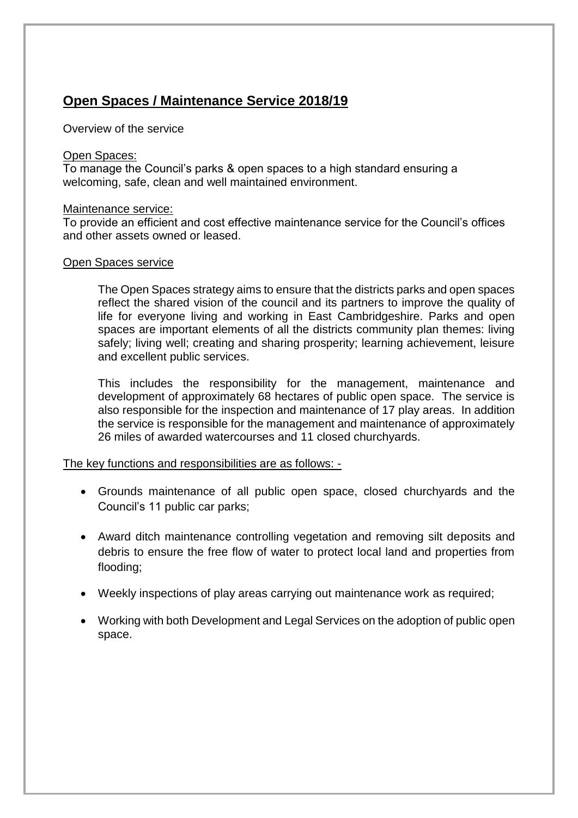### **Open Spaces / Maintenance Service 2018/19**

Overview of the service

#### Open Spaces:

To manage the Council's parks & open spaces to a high standard ensuring a welcoming, safe, clean and well maintained environment.

#### Maintenance service:

To provide an efficient and cost effective maintenance service for the Council's offices and other assets owned or leased.

#### Open Spaces service

The Open Spaces strategy aims to ensure that the districts parks and open spaces reflect the shared vision of the council and its partners to improve the quality of life for everyone living and working in East Cambridgeshire. Parks and open spaces are important elements of all the districts community plan themes: living safely; living well; creating and sharing prosperity; learning achievement, leisure and excellent public services.

This includes the responsibility for the management, maintenance and development of approximately 68 hectares of public open space. The service is also responsible for the inspection and maintenance of 17 play areas. In addition the service is responsible for the management and maintenance of approximately 26 miles of awarded watercourses and 11 closed churchyards.

The key functions and responsibilities are as follows: -

- Grounds maintenance of all public open space, closed churchyards and the Council's 11 public car parks;
- Award ditch maintenance controlling vegetation and removing silt deposits and debris to ensure the free flow of water to protect local land and properties from flooding;
- Weekly inspections of play areas carrying out maintenance work as required;
- Working with both Development and Legal Services on the adoption of public open space.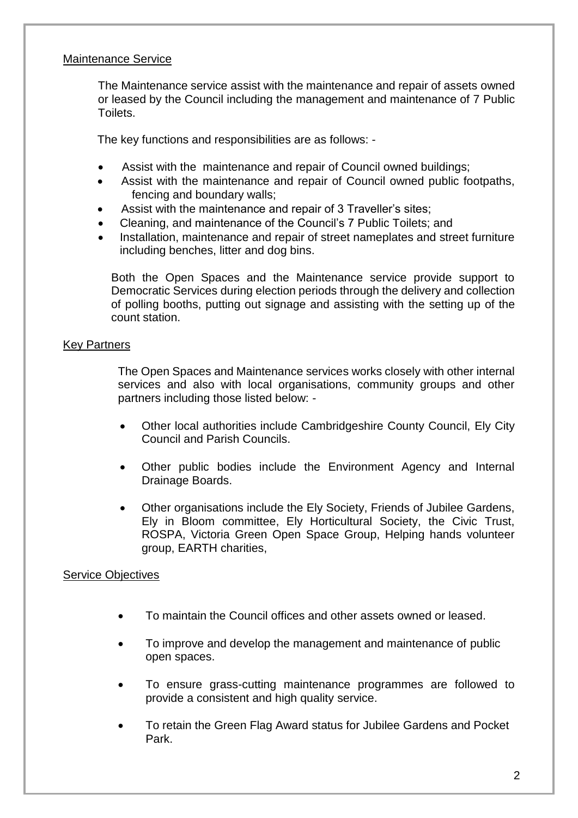#### Maintenance Service

The Maintenance service assist with the maintenance and repair of assets owned or leased by the Council including the management and maintenance of 7 Public Toilets.

The key functions and responsibilities are as follows: -

- Assist with the maintenance and repair of Council owned buildings;
- Assist with the maintenance and repair of Council owned public footpaths, fencing and boundary walls;
- Assist with the maintenance and repair of 3 Traveller's sites;
- Cleaning, and maintenance of the Council's 7 Public Toilets; and
- Installation, maintenance and repair of street nameplates and street furniture including benches, litter and dog bins.

Both the Open Spaces and the Maintenance service provide support to Democratic Services during election periods through the delivery and collection of polling booths, putting out signage and assisting with the setting up of the count station.

#### Key Partners

The Open Spaces and Maintenance services works closely with other internal services and also with local organisations, community groups and other partners including those listed below: -

- Other local authorities include Cambridgeshire County Council, Ely City Council and Parish Councils.
- Other public bodies include the Environment Agency and Internal Drainage Boards.
- Other organisations include the Ely Society, Friends of Jubilee Gardens, Ely in Bloom committee, Ely Horticultural Society, the Civic Trust, ROSPA, Victoria Green Open Space Group, Helping hands volunteer group, EARTH charities,

#### Service Objectives

- To maintain the Council offices and other assets owned or leased.
- To improve and develop the management and maintenance of public open spaces.
- To ensure grass-cutting maintenance programmes are followed to provide a consistent and high quality service.
- To retain the Green Flag Award status for Jubilee Gardens and Pocket Park.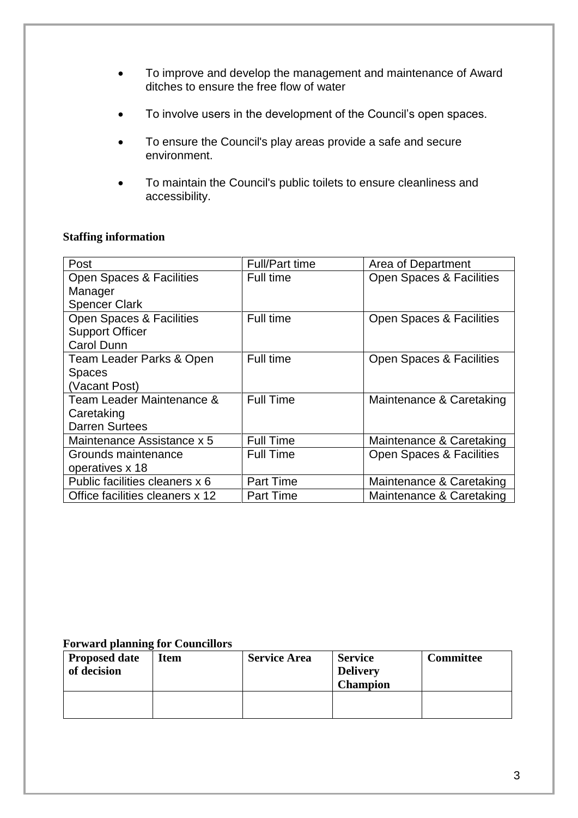- To improve and develop the management and maintenance of Award ditches to ensure the free flow of water
- To involve users in the development of the Council's open spaces.
- To ensure the Council's play areas provide a safe and secure environment.
- To maintain the Council's public toilets to ensure cleanliness and accessibility.

#### **Staffing information**

| Post                                | Full/Part time   | Area of Department       |
|-------------------------------------|------------------|--------------------------|
| Open Spaces & Facilities            | Full time        | Open Spaces & Facilities |
| Manager                             |                  |                          |
| <b>Spencer Clark</b>                |                  |                          |
| <b>Open Spaces &amp; Facilities</b> | Full time        | Open Spaces & Facilities |
| <b>Support Officer</b>              |                  |                          |
| <b>Carol Dunn</b>                   |                  |                          |
| Team Leader Parks & Open            | Full time        | Open Spaces & Facilities |
| <b>Spaces</b>                       |                  |                          |
| (Vacant Post)                       |                  |                          |
| Team Leader Maintenance &           | <b>Full Time</b> | Maintenance & Caretaking |
| Caretaking                          |                  |                          |
| <b>Darren Surtees</b>               |                  |                          |
| Maintenance Assistance x 5          | <b>Full Time</b> | Maintenance & Caretaking |
| Grounds maintenance                 | <b>Full Time</b> | Open Spaces & Facilities |
| operatives x 18                     |                  |                          |
| Public facilities cleaners x 6      | <b>Part Time</b> | Maintenance & Caretaking |
| Office facilities cleaners x 12     | <b>Part Time</b> | Maintenance & Caretaking |

#### **Forward planning for Councillors**

| <b>Proposed date</b><br>of decision | <b>Item</b> | <b>Service Area</b> | <b>Service</b><br><b>Delivery</b><br><b>Champion</b> | <b>Committee</b> |
|-------------------------------------|-------------|---------------------|------------------------------------------------------|------------------|
|                                     |             |                     |                                                      |                  |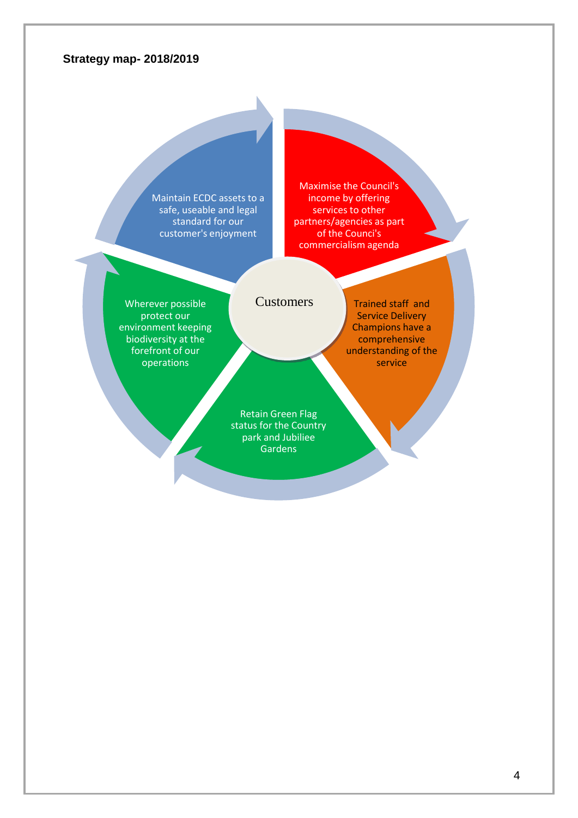#### **Strategy map- 2018/2019**

Maintain ECDC assets to a safe, useable and legal standard for our customer's enjoyment

Maximise the Council's income by offering services to other partners/agencies as part of the Counci's commercialism agenda

Wherever possible protect our environment keeping biodiversity at the forefront of our operations

#### **Customers**

Trained staff and Service Delivery Champions have a comprehensive understanding of the service

Retain Green Flag status for the Country park and Jubiliee Gardens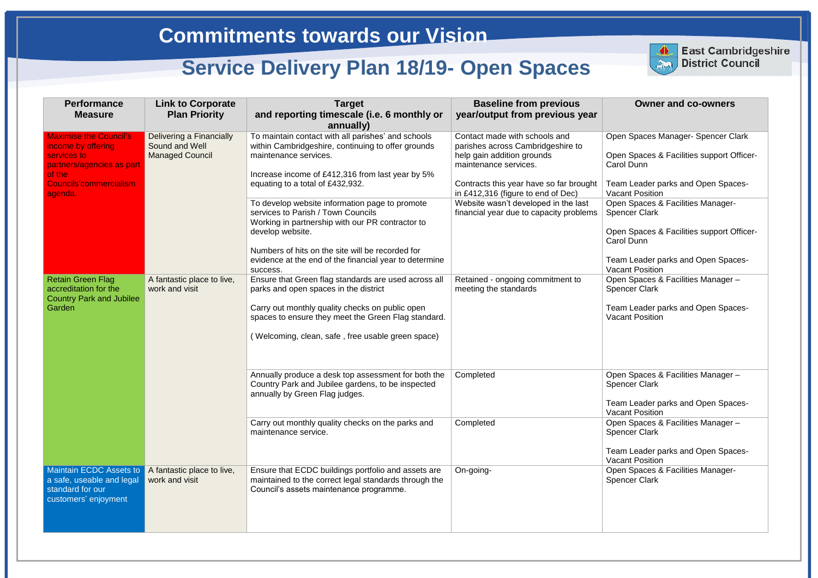## **Owner and co-owners** en Spaces Manager- Spencer Clark en Spaces & Facilities support Officerrol Dunn am Leader parks and Open Spacescant Position en Spaces & Facilities Managerencer Clark en Spaces & Facilities support Officerrol Dunn am Leader parks and Open Spacescant Position en Spaces & Facilities Manager – encer Clark am Leader parks and Open Spacescant Position en Spaces & Facilities Manager – encer Clark am Leader parks and Open Spacescant Position en Spaces & Facilities Manager – encer Clark am Leader parks and Open Spacescant Position en Spaces & Facilities Managerencer Clark

| <b>Performance</b><br><b>Measure</b>                                                                                                                  | <b>Link to Corporate</b><br><b>Plan Priority</b>                     | <b>Target</b><br>and reporting timescale (i.e. 6 monthly or<br>annually)                                                                                                                                                                                                                                                                                                                                                                                                                                | <b>Baseline from previous</b><br>year/output from previous year                                                                                                                                                                                                                               |                                                                |
|-------------------------------------------------------------------------------------------------------------------------------------------------------|----------------------------------------------------------------------|---------------------------------------------------------------------------------------------------------------------------------------------------------------------------------------------------------------------------------------------------------------------------------------------------------------------------------------------------------------------------------------------------------------------------------------------------------------------------------------------------------|-----------------------------------------------------------------------------------------------------------------------------------------------------------------------------------------------------------------------------------------------------------------------------------------------|----------------------------------------------------------------|
| <b>Maximise the Council's</b><br>income by offering<br>services to<br>partners/agencies as part<br>of the<br><b>Councils'commercialism</b><br>agenda. | Delivering a Financially<br>Sound and Well<br><b>Managed Council</b> | To maintain contact with all parishes' and schools<br>within Cambridgeshire, continuing to offer grounds<br>maintenance services.<br>Increase income of £412,316 from last year by 5%<br>equating to a total of £432,932.<br>To develop website information page to promote<br>services to Parish / Town Councils<br>Working in partnership with our PR contractor to<br>develop website.<br>Numbers of hits on the site will be recorded for<br>evidence at the end of the financial year to determine | Contact made with schools and<br>parishes across Cambridgeshire to<br>help gain addition grounds<br>maintenance services.<br>Contracts this year have so far brought<br>in £412,316 (figure to end of Dec)<br>Website wasn't developed in the last<br>financial year due to capacity problems | Op<br>Op<br>Car<br>Tea<br>Vao<br>Op<br>Spe<br>Op<br>Car<br>Tea |
| <b>Retain Green Flag</b><br>accreditation for the<br><b>Country Park and Jubilee</b><br>Garden                                                        | A fantastic place to live,<br>work and visit                         | success.<br>Ensure that Green flag standards are used across all<br>parks and open spaces in the district<br>Carry out monthly quality checks on public open<br>spaces to ensure they meet the Green Flag standard.<br>(Welcoming, clean, safe, free usable green space)                                                                                                                                                                                                                                | Retained - ongoing commitment to<br>meeting the standards                                                                                                                                                                                                                                     | Vao<br>Op<br>Spe<br>Tea<br>Vao                                 |
|                                                                                                                                                       |                                                                      | Annually produce a desk top assessment for both the<br>Country Park and Jubilee gardens, to be inspected<br>annually by Green Flag judges.<br>Carry out monthly quality checks on the parks and                                                                                                                                                                                                                                                                                                         | Completed<br>Completed                                                                                                                                                                                                                                                                        | Op<br>Spe<br>Tea<br>Vao<br>Op                                  |
|                                                                                                                                                       |                                                                      | maintenance service.                                                                                                                                                                                                                                                                                                                                                                                                                                                                                    |                                                                                                                                                                                                                                                                                               | Spe<br>Tea<br>Vao                                              |
| <b>Maintain ECDC Assets to</b><br>a safe, useable and legal<br>standard for our<br>customers' enjoyment                                               | A fantastic place to live,<br>work and visit                         | Ensure that ECDC buildings portfolio and assets are<br>maintained to the correct legal standards through the<br>Council's assets maintenance programme.                                                                                                                                                                                                                                                                                                                                                 | On-going-                                                                                                                                                                                                                                                                                     | Op<br>Spe                                                      |



**East Cambridgeshire District Council**

# **Commitments towards our Vision**

# **Service Delivery Plan 18/19- Open Spaces**